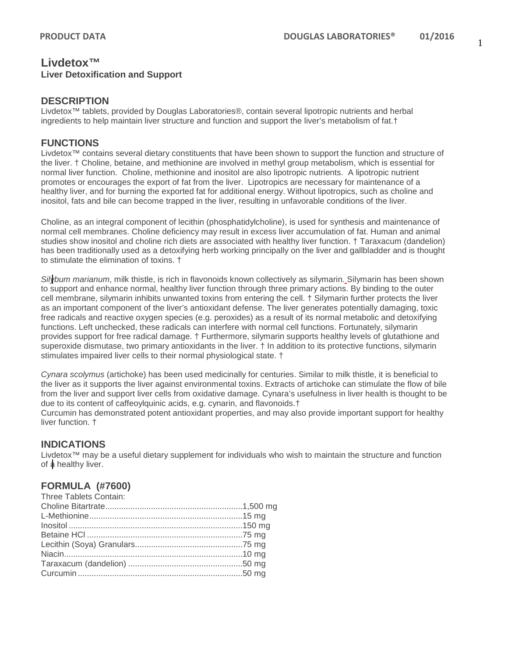# **Livdetox™ Liver Detoxification and Support**

#### **DESCRIPTION**

Livdetox™ tablets, provided by Douglas Laboratories®, contain several lipotropic nutrients and herbal ingredients to help maintain liver structure and function and support the liver's metabolism of fat.†

## **FUNCTIONS**

Livdetox™ contains several dietary constituents that have been shown to support the function and structure of the liver. † Choline, betaine, and methionine are involved in methyl group metabolism, which is essential for normal liver function. Choline, methionine and inositol are also lipotropic nutrients. A lipotropic nutrient promotes or encourages the export of fat from the liver. Lipotropics are necessary for maintenance of a healthy liver, and for burning the exported fat for additional energy. Without lipotropics, such as choline and inositol, fats and bile can become trapped in the liver, resulting in unfavorable conditions of the liver.

Choline, as an integral component of lecithin (phosphatidylcholine), is used for synthesis and maintenance of normal cell membranes. Choline deficiency may result in excess liver accumulation of fat. Human and animal studies show inositol and choline rich diets are associated with healthy liver function. † Taraxacum (dandelion) has been traditionally used as a detoxifying herb working principally on the liver and gallbladder and is thought to stimulate the elimination of toxins. †

*Silybum marianum*, milk thistle, is rich in flavonoids known collectively as silymarin. Silymarin has been shown to support and enhance normal, healthy liver function through three primary actions. By binding to the outer cell membrane, silymarin inhibits unwanted toxins from entering the cell. † Silymarin further protects the liver as an important component of the liver's antioxidant defense. The liver generates potentially damaging, toxic free radicals and reactive oxygen species (e.g. peroxides) as a result of its normal metabolic and detoxifying functions. Left unchecked, these radicals can interfere with normal cell functions. Fortunately, silymarin provides support for free radical damage. † Furthermore, silymarin supports healthy levels of glutathione and superoxide dismutase, two primary antioxidants in the liver. † In addition to its protective functions, silymarin stimulates impaired liver cells to their normal physiological state. †

*Cynara scolymus* (artichoke) has been used medicinally for centuries. Similar to milk thistle, it is beneficial to the liver as it supports the liver against environmental toxins. Extracts of artichoke can stimulate the flow of bile from the liver and support liver cells from oxidative damage. Cynara's usefulness in liver health is thought to be due to its content of caffeoylquinic acids, e.g. cynarin, and flavonoids.†

Curcumin has demonstrated potent antioxidant properties, and may also provide important support for healthy liver function. †

## **INDICATIONS**

Livdetox™ may be a useful dietary supplement for individuals who wish to maintain the structure and function of a healthy liver.

# **FORMULA (#7600)**

| Three Tablets Contain: |  |
|------------------------|--|
|                        |  |
|                        |  |
|                        |  |
|                        |  |
|                        |  |
|                        |  |
|                        |  |
|                        |  |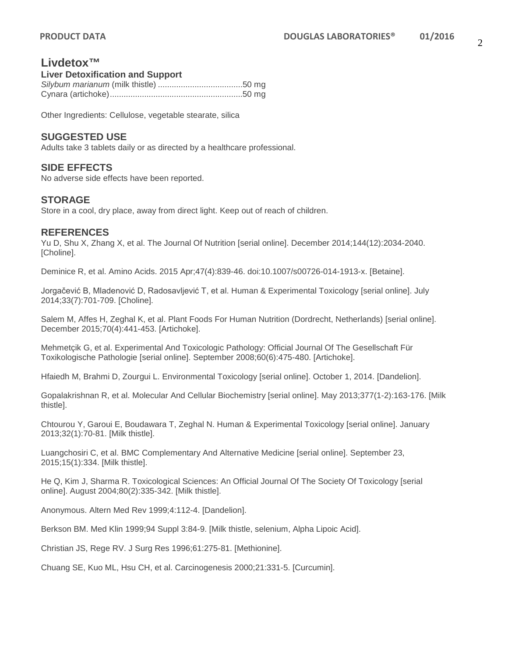# **Livdetox™**

#### **Liver Detoxification and Support**

Other Ingredients: Cellulose, vegetable stearate, silica

#### **SUGGESTED USE**

Adults take 3 tablets daily or as directed by a healthcare professional.

## **SIDE EFFECTS**

No adverse side effects have been reported.

## **STORAGE**

Store in a cool, dry place, away from direct light. Keep out of reach of children.

#### **REFERENCES**

Yu D, Shu X, Zhang X, et al. The Journal Of Nutrition [serial online]. December 2014;144(12):2034-2040. [Choline].

Deminice R, et al. Amino Acids. 2015 Apr;47(4):839-46. doi:10.1007/s00726-014-1913-x. [Betaine].

Jorgačević B, Mladenović D, Radosavljević T, et al. Human & Experimental Toxicology [serial online]. July 2014;33(7):701-709. [Choline].

Salem M, Affes H, Zeghal K, et al. Plant Foods For Human Nutrition (Dordrecht, Netherlands) [serial online]. December 2015;70(4):441-453. [Artichoke].

Mehmetçik G, et al. Experimental And Toxicologic Pathology: Official Journal Of The Gesellschaft Für Toxikologische Pathologie [serial online]. September 2008;60(6):475-480. [Artichoke].

Hfaiedh M, Brahmi D, Zourgui L. Environmental Toxicology [serial online]. October 1, 2014. [Dandelion].

Gopalakrishnan R, et al. Molecular And Cellular Biochemistry [serial online]. May 2013;377(1-2):163-176. [Milk thistle].

Chtourou Y, Garoui E, Boudawara T, Zeghal N. Human & Experimental Toxicology [serial online]. January 2013;32(1):70-81. [Milk thistle].

Luangchosiri C, et al. BMC Complementary And Alternative Medicine [serial online]. September 23, 2015;15(1):334. [Milk thistle].

He Q, Kim J, Sharma R. Toxicological Sciences: An Official Journal Of The Society Of Toxicology [serial online]. August 2004;80(2):335-342. [Milk thistle].

Anonymous. Altern Med Rev 1999;4:112-4. [Dandelion].

Berkson BM. Med Klin 1999;94 Suppl 3:84-9. [Milk thistle, selenium, Alpha Lipoic Acid].

Christian JS, Rege RV. J Surg Res 1996;61:275-81. [Methionine].

Chuang SE, Kuo ML, Hsu CH, et al. Carcinogenesis 2000;21:331-5. [Curcumin].